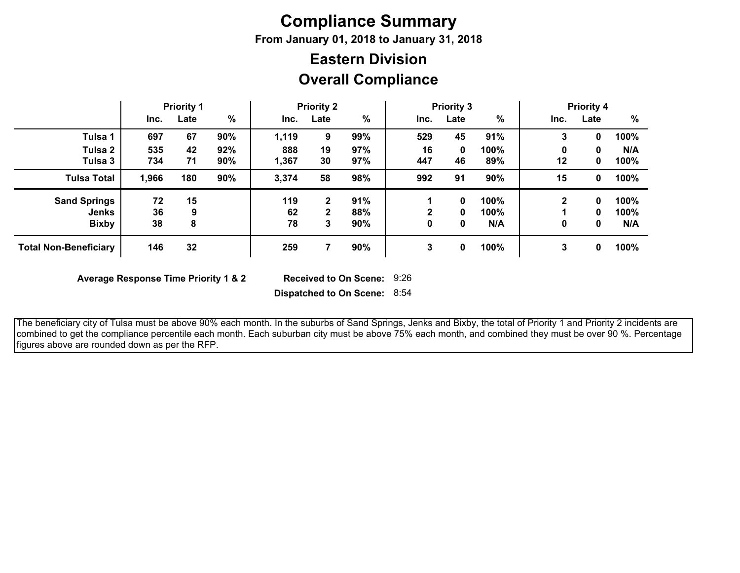# **Compliance Summary**

**From January 01, 2018 to January 31, 2018**

## **Overall Compliance Eastern Division**

|                                                     | <b>Priority 1</b> |          |            | <b>Priority 2</b> |                        |                   | <b>Priority 3</b> |             |                     | <b>Priority 4</b> |             |                     |
|-----------------------------------------------------|-------------------|----------|------------|-------------------|------------------------|-------------------|-------------------|-------------|---------------------|-------------------|-------------|---------------------|
|                                                     | Inc.              | Late     | $\%$       | Inc.              | Late                   | $\%$              | Inc.              | Late        | $\frac{9}{6}$       | Inc.              | Late        | %                   |
| Tulsa 1                                             | 697               | 67       | 90%        | 1,119             | 9                      | 99%               | 529               | 45          | 91%                 | 3                 | 0           | 100%                |
| Tulsa 2<br>Tulsa 3                                  | 535<br>734        | 42<br>71 | 92%<br>90% | 888<br>1,367      | 19<br>30               | 97%<br>97%        | 16<br>447         | 0<br>46     | 100%<br>89%         | 0<br>12           | 0<br>0      | N/A<br>100%         |
| <b>Tulsa Total</b>                                  | 1,966             | 180      | 90%        | 3,374             | 58                     | 98%               | 992               | 91          | 90%                 | 15                | 0           | 100%                |
| <b>Sand Springs</b><br><b>Jenks</b><br><b>Bixby</b> | 72<br>36<br>38    | 15<br>8  |            | 119<br>62<br>78   | $\mathbf{2}$<br>2<br>3 | 91%<br>88%<br>90% | ◠<br>0            | 0<br>0<br>0 | 100%<br>100%<br>N/A | 2<br>0            | 0<br>0<br>0 | 100%<br>100%<br>N/A |
| <b>Total Non-Beneficiary</b>                        | 146               | 32       |            | 259               |                        | 90%               | 3                 | 0           | 100%                | 3                 | 0           | 100%                |

**Average Response Time Priority 1 & 2** 

Received to On Scene: 9:26

**Dispatched to On Scene:** 8:54

 The beneficiary city of Tulsa must be above 90% each month. In the suburbs of Sand Springs, Jenks and Bixby, the total of Priority 1 and Priority 2 incidents are combined to get the compliance percentile each month. Each suburban city must be above 75% each month, and combined they must be over 90 %. Percentage figures above are rounded down as per the RFP.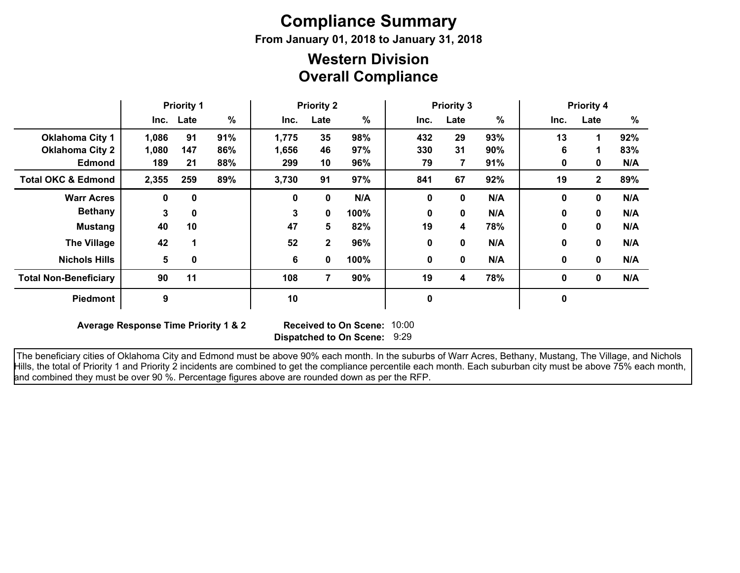# **Compliance Summary**

**From January 01, 2018 to January 31, 2018**

### **Overall Compliance Western Division**

|                               | <b>Priority 1</b> |             | <b>Priority 2</b> |       | <b>Priority 3</b> |      |      |             | <b>Priority 4</b> |              |              |     |
|-------------------------------|-------------------|-------------|-------------------|-------|-------------------|------|------|-------------|-------------------|--------------|--------------|-----|
|                               |                   | Inc. Late   | $\frac{9}{6}$     | Inc.  | Late              | %    | Inc. | Late        | $\frac{9}{6}$     | Inc.         | Late         | %   |
| <b>Oklahoma City 1</b>        | 1,086             | 91          | 91%               | 1,775 | 35                | 98%  | 432  | 29          | 93%               | 13           | 1            | 92% |
| <b>Oklahoma City 2</b>        | 1,080             | 147         | 86%               | 1,656 | 46                | 97%  | 330  | 31          | 90%               | 6            | 1            | 83% |
| <b>Edmond</b>                 | 189               | 21          | 88%               | 299   | 10                | 96%  | 79   | 7           | 91%               | 0            | 0            | N/A |
| <b>Total OKC &amp; Edmond</b> | 2,355             | 259         | 89%               | 3,730 | 91                | 97%  | 841  | 67          | 92%               | 19           | $\mathbf{2}$ | 89% |
| <b>Warr Acres</b>             | 0                 | 0           |                   | 0     | 0                 | N/A  | 0    | $\mathbf 0$ | N/A               | $\mathbf 0$  | 0            | N/A |
| <b>Bethany</b>                | 3                 | $\mathbf 0$ |                   | 3     | 0                 | 100% | 0    | $\bf{0}$    | N/A               | $\mathbf{0}$ | 0            | N/A |
| <b>Mustang</b>                | 40                | 10          |                   | 47    | 5                 | 82%  | 19   | 4           | 78%               | 0            | 0            | N/A |
| <b>The Village</b>            | 42                |             |                   | 52    | $\mathbf 2$       | 96%  | 0    | $\mathbf 0$ | N/A               | $\mathbf 0$  | 0            | N/A |
| <b>Nichols Hills</b>          | 5                 | 0           |                   | 6     | 0                 | 100% | 0    | 0           | N/A               | 0            | $\mathbf 0$  | N/A |
| <b>Total Non-Beneficiary</b>  | 90                | 11          |                   | 108   | 7                 | 90%  | 19   | 4           | 78%               | 0            | $\mathbf 0$  | N/A |
| <b>Piedmont</b>               | 9                 |             |                   | 10    |                   |      | 0    |             |                   | 0            |              |     |

**Average Response Time Priority 1 & 2** 

**Dispatched to On Scene:** 9:29 Received to On Scene: 10:00

 The beneficiary cities of Oklahoma City and Edmond must be above 90% each month. In the suburbs of Warr Acres, Bethany, Mustang, The Village, and Nichols Hills, the total of Priority 1 and Priority 2 incidents are combined to get the compliance percentile each month. Each suburban city must be above 75% each month, and combined they must be over 90 %. Percentage figures above are rounded down as per the RFP.